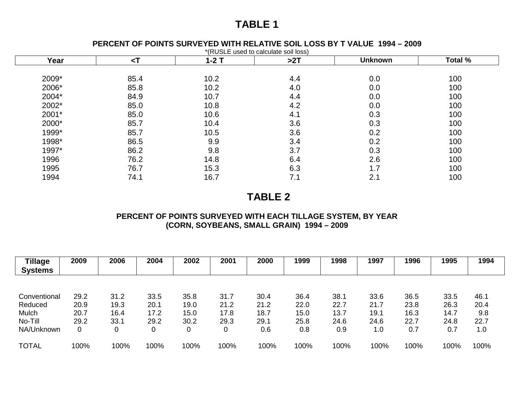# **TABLE 1**

#### **PERCENT OF POINTS SURVEYED WITH RELATIVE SOIL LOSS BY T VALUE 1994 – 2009**

| Year  | $\leq$ T | $1-2$ T | >2T | <b>Unknown</b> | Total % |
|-------|----------|---------|-----|----------------|---------|
| 2009* |          | 10.2    |     |                | 100     |
|       | 85.4     |         | 4.4 | 0.0            |         |
| 2006* | 85.8     | 10.2    | 4.0 | 0.0            | 100     |
| 2004* | 84.9     | 10.7    | 4.4 | 0.0            | 100     |
| 2002* | 85.0     | 10.8    | 4.2 | 0.0            | 100     |
| 2001* | 85.0     | 10.6    | 4.1 | 0.3            | 100     |
| 2000* | 85.7     | 10.4    | 3.6 | 0.3            | 100     |
| 1999* | 85.7     | 10.5    | 3.6 | 0.2            | 100     |
| 1998* | 86.5     | 9.9     | 3.4 | 0.2            | 100     |
| 1997* | 86.2     | 9.8     | 3.7 | 0.3            | 100     |
| 1996  | 76.2     | 14.8    | 6.4 | 2.6            | 100     |
| 1995  | 76.7     | 15.3    | 6.3 | 1.7            | 100     |
| 1994  | 74.1     | 16.7    | 7.1 | 2.1            | 100     |

### **TABLE 2**

### **PERCENT OF POINTS SURVEYED WITH EACH TILLAGE SYSTEM, BY YEAR (CORN, SOYBEANS, SMALL GRAIN) 1994 – 2009**

| <b>Tillage</b><br><b>Systems</b> | 2009     | 2006 | 2004 | 2002 | 2001 | 2000 | 1999 | 1998 | 1997 | 1996 | 1995 | 1994 |
|----------------------------------|----------|------|------|------|------|------|------|------|------|------|------|------|
|                                  |          |      |      |      |      |      |      |      |      |      |      |      |
| Conventional                     | 29.2     | 31.2 | 33.5 | 35.8 | 31.7 | 30.4 | 36.4 | 38.1 | 33.6 | 36.5 | 33.5 | 46.1 |
| Reduced                          | 20.9     | 19.3 | 20.1 | 19.0 | 21.2 | 21.2 | 22.0 | 22.7 | 21.7 | 23.8 | 26.3 | 20.4 |
| Mulch                            | 20.7     | 16.4 | 17.2 | 15.0 | 17.8 | 18.7 | 15.0 | 13.7 | 19.1 | 16.3 | 14.7 | 9.8  |
| No-Till                          | 29.2     | 33.1 | 29.2 | 30.2 | 29.3 | 29.1 | 25.8 | 24.6 | 24.6 | 22.7 | 24.8 | 22.7 |
| NA/Unknown                       | $\Omega$ | 0    | 0    | 0    | 0    | 0.6  | 0.8  | 0.9  | 1.0  | 0.7  | 0.7  | 1.0  |
| <b>TOTAL</b>                     | 100%     | 100% | 100% | 100% | 100% | 100% | 100% | 100% | 100% | 100% | 100% | 100% |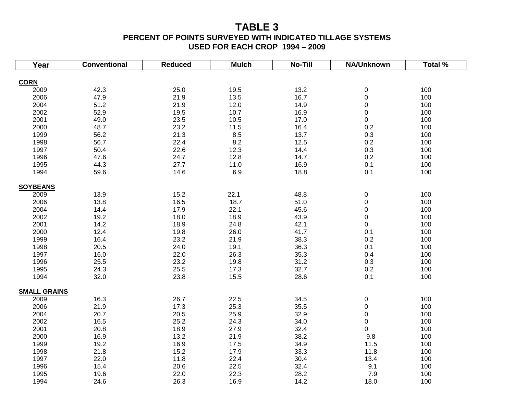## **TABLE 3**

#### **PERCENT OF POINTS SURVEYED WITH INDICATED TILLAGE SYSTEMS USED FOR EACH CROP 1994 – 2009**

| Year                | <b>Conventional</b> | <b>Reduced</b> | <b>Mulch</b> | <b>No-Till</b> | NA/Unknown  | Total $\overline{\%}$ |
|---------------------|---------------------|----------------|--------------|----------------|-------------|-----------------------|
|                     |                     |                |              |                |             |                       |
| <b>CORN</b>         |                     |                |              |                |             |                       |
| 2009                | 42.3                | 25.0           | 19.5         | 13.2           | $\pmb{0}$   | 100                   |
| 2006                | 47.9                | 21.9           | 13.5         | 16.7           | 0           | 100                   |
| 2004                | 51.2                | 21.9           | 12.0         | 14.9           | 0           | 100                   |
| 2002                | 52.9                | 19.5           | 10.7         | 16.9           | $\mathbf 0$ | 100                   |
| 2001                | 49.0                | 23.5           | 10.5         | 17.0           | 0           | 100                   |
| 2000                | 48.7                | 23.2           | 11.5         | 16.4           | 0.2         | 100                   |
| 1999                | 56.2                | 21.3           | 8.5          | 13.7           | 0.3         | 100                   |
| 1998                | 56.7                | 22.4           | 8.2          | 12.5           | 0.2         | 100                   |
| 1997                | 50.4                | 22.6           | 12.3         | 14.4           | 0.3         | 100                   |
| 1996                | 47.6                | 24.7           | 12.8         | 14.7           | 0.2         | 100                   |
| 1995                | 44.3                | 27.7           | 11.0         | 16.9           | 0.1         | 100                   |
| 1994                | 59.6                | 14.6           | 6.9          | 18.8           | 0.1         | 100                   |
| <b>SOYBEANS</b>     |                     |                |              |                |             |                       |
| 2009                | 13.9                | 15.2           | 22.1         | 48.8           | 0           | 100                   |
| 2006                | 13.8                | 16.5           | 18.7         | 51.0           | 0           | 100                   |
| 2004                | 14.4                | 17.9           | 22.1         | 45.6           | 0           | 100                   |
| 2002                | 19.2                | 18.0           | 18.9         | 43.9           | $\mathbf 0$ | 100                   |
| 2001                | 14.2                | 18.9           | 24.8         | 42.1           | 0           | 100                   |
| 2000                | 12.4                | 19.8           | 26.0         | 41.7           | 0.1         | 100                   |
| 1999                | 16.4                | 23.2           | 21.9         | 38.3           | 0.2         | 100                   |
| 1998                | 20.5                | 24.0           | 19.1         | 36.3           | 0.1         | 100                   |
| 1997                | 16.0                | 22.0           | 26.3         | 35.3           | 0.4         | 100                   |
| 1996                | 25.5                | 23.2           | 19.8         | 31.2           | 0.3         | 100                   |
| 1995                | 24.3                | 25.5           | 17.3         | 32.7           | $0.2\,$     | 100                   |
| 1994                | 32.0                | 23.8           | 15.5         | 28.6           | 0.1         | 100                   |
|                     |                     |                |              |                |             |                       |
| <b>SMALL GRAINS</b> |                     |                |              |                |             |                       |
| 2009                | 16.3                | 26.7           | 22.5         | 34.5           | 0           | 100                   |
| 2006                | 21.9                | 17.3           | 25.3         | 35.5           | 0           | 100                   |
| 2004                | 20.7                | 20.5           | 25.9         | 32.9           | 0           | 100                   |
| 2002                | 16.5                | 25.2           | 24.3         | 34.0           | 0           | 100                   |
| 2001                | 20.8                | 18.9           | 27.9         | 32.4           | 0           | 100                   |
| 2000                | 16.9                | 13.2           | 21.9         | 38.2           | 9.8         | 100                   |
| 1999                | 19.2                | 16.9           | 17.5         | 34.9           | 11.5        | 100                   |
| 1998                | 21.8                | 15.2           | 17.9         | 33.3           | 11.8        | 100                   |
| 1997                | 22.0                | 11.8           | 22.4         | 30.4           | 13.4        | 100                   |
| 1996                | 15.4                | 20.6           | 22.5         | 32.4           | 9.1         | 100                   |
| 1995                | 19.6                | 22.0           | 22.3         | 28.2           | 7.9         | 100                   |
| 1994                | 24.6                | 26.3           | 16.9         | 14.2           | 18.0        | 100                   |